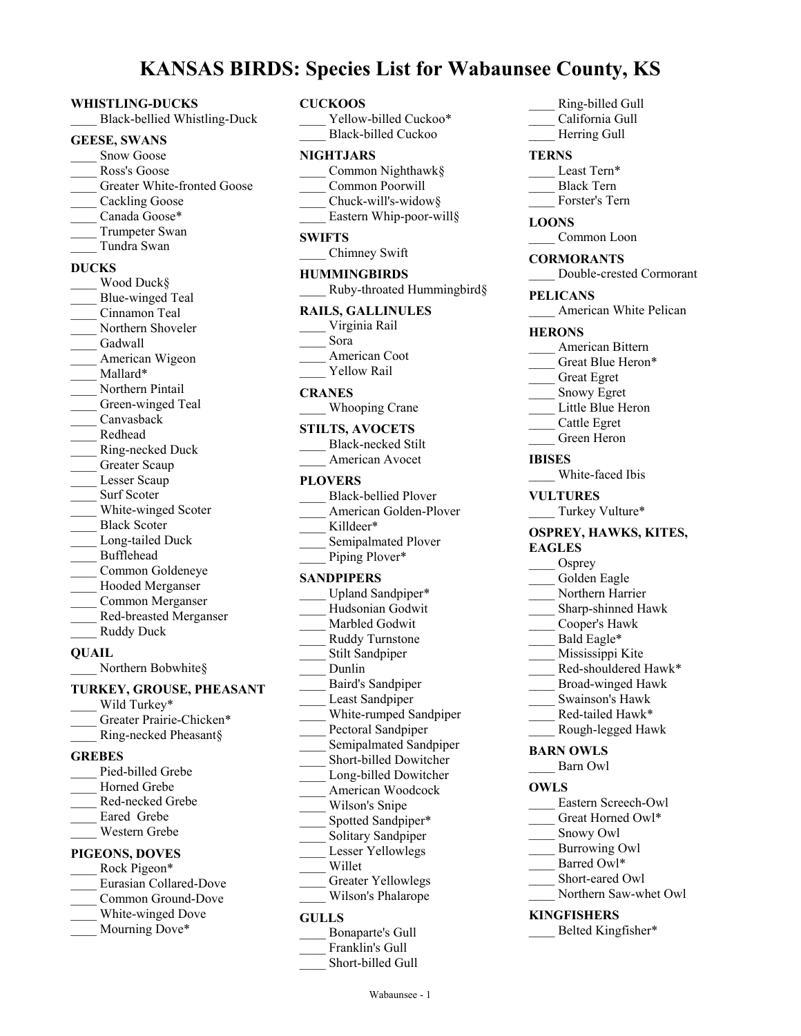# **KANSAS BIRDS: Species List for Wabaunsee County, KS**

#### **WHISTLING-DUCKS**

\_\_\_\_ Black-bellied Whistling-Duck

#### **GEESE, SWANS**

- Snow Goose
- \_\_\_\_ Ross's Goose
- Greater White-fronted Goose
- \_\_\_\_ Cackling Goose
- Canada Goose\*
- \_\_\_\_ Trumpeter Swan
- \_\_\_\_ Tundra Swan

#### **DUCKS**

Wood Duck§ Blue-winged Teal \_\_\_\_ Cinnamon Teal Northern Shoveler Gadwall American Wigeon Mallard\* Northern Pintail Green-winged Teal \_\_\_\_ Canvasback \_\_\_\_ Redhead \_\_\_\_ Ring-necked Duck Greater Scaup Lesser Scaup Surf Scoter White-winged Scoter Black Scoter Long-tailed Duck \_\_\_\_ Bufflehead \_\_\_\_ Common Goldeneye \_\_\_\_ Hooded Merganser \_\_\_\_ Common Merganser \_\_\_\_ Red-breasted Merganser Ruddy Duck

#### **QUAIL**

Northern Bobwhite§

#### **TURKEY, GROUSE, PHEASANT**

- Wild Turkey\* Greater Prairie-Chicken\*
- Ring-necked Pheasant§

#### **GREBES**

| Pied-billed Grebe             |  |  |
|-------------------------------|--|--|
| Horned Grebe                  |  |  |
| Red-necked Grebe              |  |  |
| Eared Grebe                   |  |  |
| Western Grebe                 |  |  |
| PIGEONS, DOVES                |  |  |
| Rock Pigeon*                  |  |  |
| <b>Eurasian Collared-Dove</b> |  |  |
|                               |  |  |

- \_\_\_\_ Common Ground-Dove
- White-winged Dove
- Mourning Dove\*

| $v$ <sub>p</sub> $v$ <sub>c</sub> $v$ <sub>p</sub> | יט⊥                                                                                                                                                                    |
|----------------------------------------------------|------------------------------------------------------------------------------------------------------------------------------------------------------------------------|
| <b>CUCKOOS</b>                                     | Yellow-billed Cuckoo*<br><b>Black-billed Cuckoo</b>                                                                                                                    |
| NIGHTJARS                                          | Common Nighthawk§<br>Common Poorwill<br>Chuck-will's-widow§<br>Eastern Whip-poor-will§                                                                                 |
| <b>SWIFTS</b>                                      | Chimney Swift                                                                                                                                                          |
| <b>HUMMINGBIRDS</b>                                | Ruby-throated Hummingbird§                                                                                                                                             |
| Virginia Rail<br>Sora<br><b>Yellow Rail</b>        | <b>RAILS, GALLINULES</b><br>American Coot                                                                                                                              |
| <b>CRANES</b>                                      | Whooping Crane                                                                                                                                                         |
| <b>STILTS, AVOCETS</b>                             | <b>Black-necked Stilt</b><br>American Avocet                                                                                                                           |
| <b>PLOVERS</b><br>Killdeer*                        | <b>Black-bellied Plover</b><br>American Golden-Plover<br>Semipalmated Plover<br>Piping Plover*                                                                         |
| <b>SANDPIPERS</b><br>Dunlin                        | Upland Sandpiper*<br>Hudsonian Godwit<br>Marbled Godwit<br>Ruddy Turnstone<br>Stilt Sandpiper<br><b>Baird's Sandpiper</b><br>Least Sandpiper<br>White-rumped Sandpiper |
|                                                    | Pectoral Sandpiper                                                                                                                                                     |

- 
- Semipalmated Sandpiper Short-billed Dowitcher
- Long-billed Dowitcher
- \_\_\_\_ American Woodcock
- Wilson's Snipe
- Spotted Sandpiper\*
- Solitary Sandpiper
- Lesser Yellowlegs
- \_\_\_\_ Willet
- Greater Yellowlegs
- \_\_\_\_ Wilson's Phalarope

#### **GULLS**

| Bonaparte's Gull |
|------------------|
| Franklin's Gull  |

Short-billed Gull

| Ring-billed Gull<br>California Gull<br>Herring Gull                                                                                                                                                                                                                            |
|--------------------------------------------------------------------------------------------------------------------------------------------------------------------------------------------------------------------------------------------------------------------------------|
| <b>TERNS</b>                                                                                                                                                                                                                                                                   |
| Least Tern*<br><b>Black Tern</b><br>Forster's Tern                                                                                                                                                                                                                             |
| <b>LOONS</b><br>Common Loon                                                                                                                                                                                                                                                    |
| <b>CORMORANTS</b><br>Double-crested Cormorant                                                                                                                                                                                                                                  |
| <b>PELICANS</b><br>American White Pelican                                                                                                                                                                                                                                      |
| <b>HERONS</b><br>American Bittern<br>Great Blue Heron*<br>Great Egret<br>Snowy Egret<br>Little Blue Heron<br>Cattle Egret<br>Green Heron                                                                                                                                       |
| <b>IBISES</b><br>White-faced Ibis                                                                                                                                                                                                                                              |
| <b>VULTURES</b><br>Turkey Vulture*                                                                                                                                                                                                                                             |
| <b>OSPREY, HAWKS, KITES,</b><br><b>EAGLES</b><br>Osprey<br>Golden Eagle<br>Northern Harrier<br>Sharp-shinned Hawk<br>Cooper's Hawk<br>Bald Eagle*<br>Mississippi Kite<br>Red-shouldered Hawk*<br>Broad-winged Hawk<br>Swainson's Hawk<br>Red-tailed Hawk*<br>Rough-legged Hawk |
| <b>BARN OWLS</b><br>Barn Owl                                                                                                                                                                                                                                                   |
| OWLS                                                                                                                                                                                                                                                                           |
| Eastern Screech-Owl<br>Great Horned Owl*<br>Snowy Owl<br><b>Burrowing Owl</b><br>Barred Owl*<br>Short-eared Owl                                                                                                                                                                |

Northern Saw-whet Owl

# **KINGFISHERS**

Belted Kingfisher\*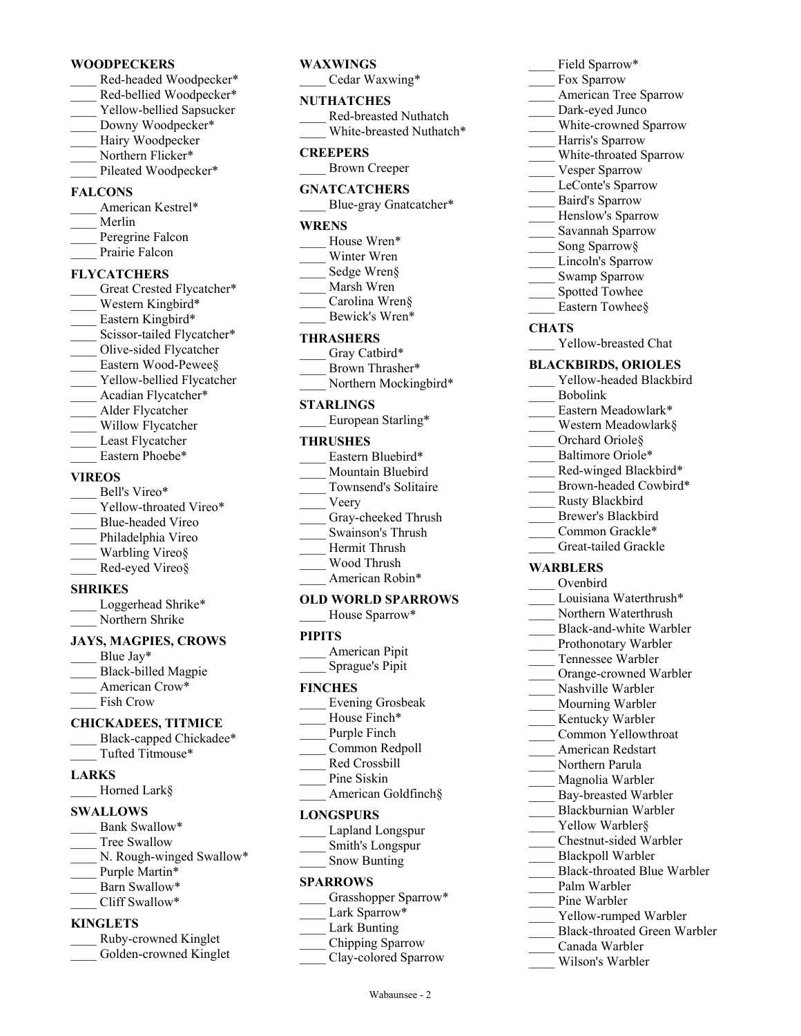#### **WOODPECKERS**

- Red-headed Woodpecker\* Red-bellied Woodpecker\*
- Yellow-bellied Sapsucker
- Downy Woodpecker\*
- Hairy Woodpecker
- Northern Flicker\* Pileated Woodpecker\*
- 

# **FALCONS**

- American Kestrel\* \_\_\_\_ Merlin Peregrine Falcon Prairie Falcon
- 

# **FLYCATCHERS**

Great Crested Flycatcher\* Western Kingbird\* Eastern Kingbird\* Scissor-tailed Flycatcher\* Olive-sided Flycatcher Eastern Wood-Pewee§ \_\_\_\_ Yellow-bellied Flycatcher Acadian Flycatcher\* \_\_\_\_ Alder Flycatcher Willow Flycatcher Least Flycatcher Eastern Phoebe\*

# **VIREOS**

| Bell's Vireo*          |
|------------------------|
| Yellow-throated Vireo* |
| Blue-headed Vireo      |
| Philadelphia Vireo     |
| Warbling Vireo§        |
| Red-eyed Vireo§        |
| SHRIKES                |

## **SHRIKES**

Loggerhead Shrike\* Northern Shrike

# **JAYS, MAGPIES, CROWS**

Blue Jay\* Black-billed Magpie American Crow\* Fish Crow

# **CHICKADEES, TITMICE**

Black-capped Chickadee\* \_\_\_\_ Tufted Titmouse\*

# **LARKS**

\_\_\_\_ Horned Lark§

# **SWALLOWS**

- Bank Swallow\*
- Tree Swallow
- N. Rough-winged Swallow\*
- Purple Martin\*
- Barn Swallow\*
- Cliff Swallow\*

## **KINGLETS**

| Ruby-crowned Kinglet   |
|------------------------|
| Golden-crowned Kinglet |

# **WAXWINGS**

Cedar Waxwing\*

#### **NUTHATCHES**

| Red-breasted Nuthatch    |
|--------------------------|
| White-breasted Nuthatch* |

# **CREEPERS**

\_\_\_\_ Brown Creeper

# **GNATCATCHERS**

Blue-gray Gnatcatcher\*

# **WRENS**

- House Wren\*
- Winter Wren
- Sedge Wren§
- \_\_\_\_ Marsh Wren
- Carolina Wren§
- Bewick's Wren\*

# **THRASHERS**

- Gray Catbird\* Brown Thrasher\*
- Northern Mockingbird\*

# **STARLINGS**

European Starling\*

#### **THRUSHES**

- Eastern Bluebird\* Mountain Bluebird \_\_\_\_ Townsend's Solitaire \_\_\_\_ Veery Gray-cheeked Thrush \_\_\_\_ Swainson's Thrush Hermit Thrush
- \_\_\_\_ Wood Thrush American Robin\*

# **OLD WORLD SPARROWS**

House Sparrow\*

# **PIPITS**

\_\_\_\_ American Pipit \_\_\_\_ Sprague's Pipit

#### **FINCHES**

- \_\_\_\_ Evening Grosbeak
- House Finch\*
- Purple Finch
- \_\_\_\_ Common Redpoll \_\_\_\_ Red Crossbill
- Pine Siskin
- American Goldfinch§

# **LONGSPURS**

- \_\_\_\_ Lapland Longspur \_\_\_\_ Smith's Longspur
- \_\_\_\_ Snow Bunting

# **SPARROWS**

- Grasshopper Sparrow\*
- Lark Sparrow\*
- Lark Bunting
- \_\_\_\_ Chipping Sparrow
	- Clay-colored Sparrow

Wabaunsee - 2

# Field Sparrow\*

- Fox Sparrow
- \_\_\_\_ American Tree Sparrow
- Dark-eyed Junco
- White-crowned Sparrow
- Harris's Sparrow
- \_\_\_\_ White-throated Sparrow
- Vesper Sparrow
- LeConte's Sparrow
- \_\_\_\_ Baird's Sparrow
- Henslow's Sparrow
- \_\_\_\_ Savannah Sparrow
- Song Sparrow§
- Lincoln's Sparrow Swamp Sparrow
- Spotted Towhee
- Eastern Towhee§

# **CHATS**

\_\_\_\_ Yellow-breasted Chat

# **BLACKBIRDS, ORIOLES**

- Yellow-headed Blackbird
- \_\_\_\_ Bobolink

**WARBLERS** \_\_\_\_ Ovenbird

- Eastern Meadowlark\*
- \_\_\_\_ Western Meadowlark§
- Orchard Oriole§
- Baltimore Oriole\*
- Red-winged Blackbird\*

\_\_\_\_ Rusty Blackbird Brewer's Blackbird Common Grackle\* \_\_\_\_ Great-tailed Grackle

Brown-headed Cowbird\*

Louisiana Waterthrush\* Northern Waterthrush Black-and-white Warbler Prothonotary Warbler Tennessee Warbler Orange-crowned Warbler Nashville Warbler Mourning Warbler Kentucky Warbler \_\_\_\_ Common Yellowthroat \_\_\_\_ American Redstart Northern Parula \_\_\_\_ Magnolia Warbler Bay-breasted Warbler \_\_\_\_ Blackburnian Warbler Yellow Warbler§ \_\_\_\_ Chestnut-sided Warbler \_\_\_\_ Blackpoll Warbler

Black-throated Blue Warbler

Yellow-rumped Warbler \_\_\_\_ Black-throated Green Warbler

Palm Warbler Pine Warbler

\_\_\_\_ Canada Warbler \_\_\_\_ Wilson's Warbler